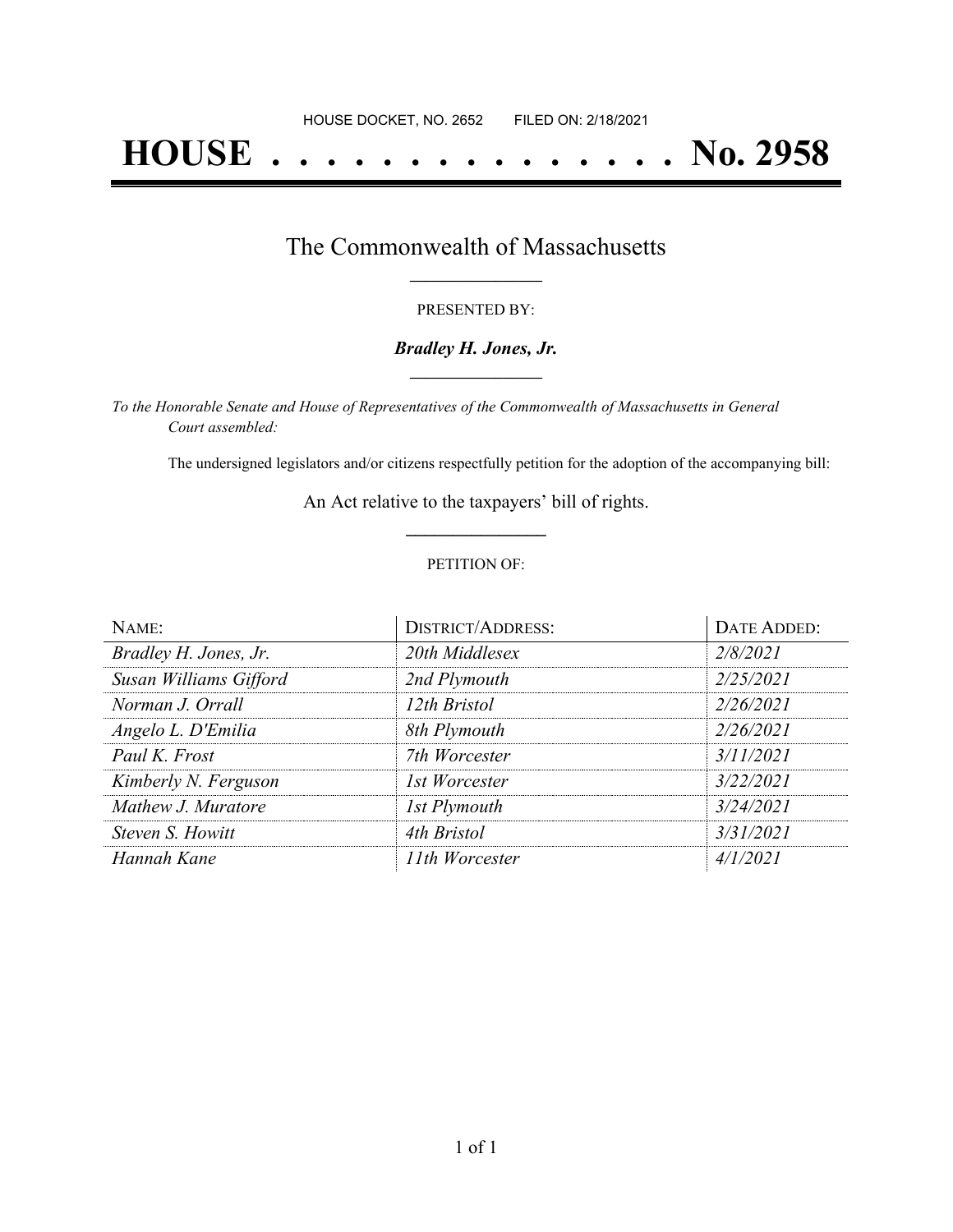# **HOUSE . . . . . . . . . . . . . . . No. 2958**

### The Commonwealth of Massachusetts **\_\_\_\_\_\_\_\_\_\_\_\_\_\_\_\_\_**

#### PRESENTED BY:

#### *Bradley H. Jones, Jr.* **\_\_\_\_\_\_\_\_\_\_\_\_\_\_\_\_\_**

*To the Honorable Senate and House of Representatives of the Commonwealth of Massachusetts in General Court assembled:*

The undersigned legislators and/or citizens respectfully petition for the adoption of the accompanying bill:

An Act relative to the taxpayers' bill of rights. **\_\_\_\_\_\_\_\_\_\_\_\_\_\_\_**

#### PETITION OF:

| NAME:                  | <b>DISTRICT/ADDRESS:</b> | <b>DATE ADDED:</b> |
|------------------------|--------------------------|--------------------|
| Bradley H. Jones, Jr.  | 20th Middlesex           | 2/8/2021           |
| Susan Williams Gifford | 2nd Plymouth             | 2/25/2021          |
| Norman J. Orrall       | 12th Bristol             | 2/26/2021          |
| Angelo L. D'Emilia     | 8th Plymouth             | 2/26/2021          |
| Paul K. Frost          | 7th Worcester            | 3/11/2021          |
| Kimberly N. Ferguson   | 1st Worcester            | 3/22/2021          |
| Mathew J. Muratore     | 1st Plymouth             | 3/24/2021          |
| Steven S. Howitt       | 4th Bristol              | 3/31/2021          |
| Hannah Kane            | 11th Worcester           | 4/1/2021           |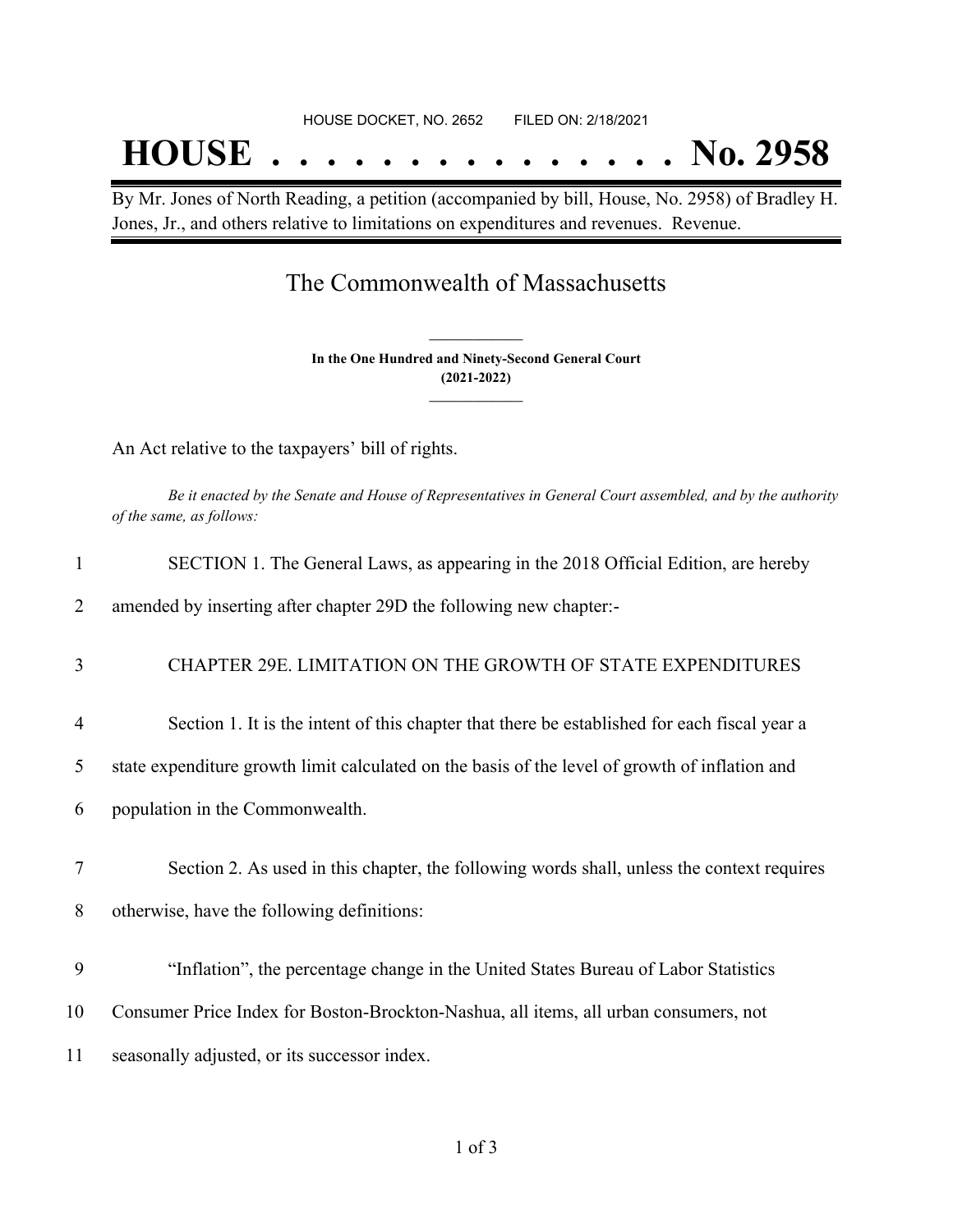# HOUSE DOCKET, NO. 2652 FILED ON: 2/18/2021 **HOUSE . . . . . . . . . . . . . . . No. 2958**

By Mr. Jones of North Reading, a petition (accompanied by bill, House, No. 2958) of Bradley H. Jones, Jr., and others relative to limitations on expenditures and revenues. Revenue.

## The Commonwealth of Massachusetts

**In the One Hundred and Ninety-Second General Court (2021-2022) \_\_\_\_\_\_\_\_\_\_\_\_\_\_\_**

**\_\_\_\_\_\_\_\_\_\_\_\_\_\_\_**

An Act relative to the taxpayers' bill of rights.

Be it enacted by the Senate and House of Representatives in General Court assembled, and by the authority *of the same, as follows:*

| $\mathbf{1}$   | SECTION 1. The General Laws, as appearing in the 2018 Official Edition, are hereby             |
|----------------|------------------------------------------------------------------------------------------------|
| 2              | amended by inserting after chapter 29D the following new chapter:-                             |
| 3              | CHAPTER 29E. LIMITATION ON THE GROWTH OF STATE EXPENDITURES                                    |
| $\overline{4}$ | Section 1. It is the intent of this chapter that there be established for each fiscal year a   |
| 5              | state expenditure growth limit calculated on the basis of the level of growth of inflation and |
| 6              | population in the Commonwealth.                                                                |
| 7              | Section 2. As used in this chapter, the following words shall, unless the context requires     |
| 8              | otherwise, have the following definitions:                                                     |
| 9              | "Inflation", the percentage change in the United States Bureau of Labor Statistics             |
| 10             | Consumer Price Index for Boston-Brockton-Nashua, all items, all urban consumers, not           |
| 11             | seasonally adjusted, or its successor index.                                                   |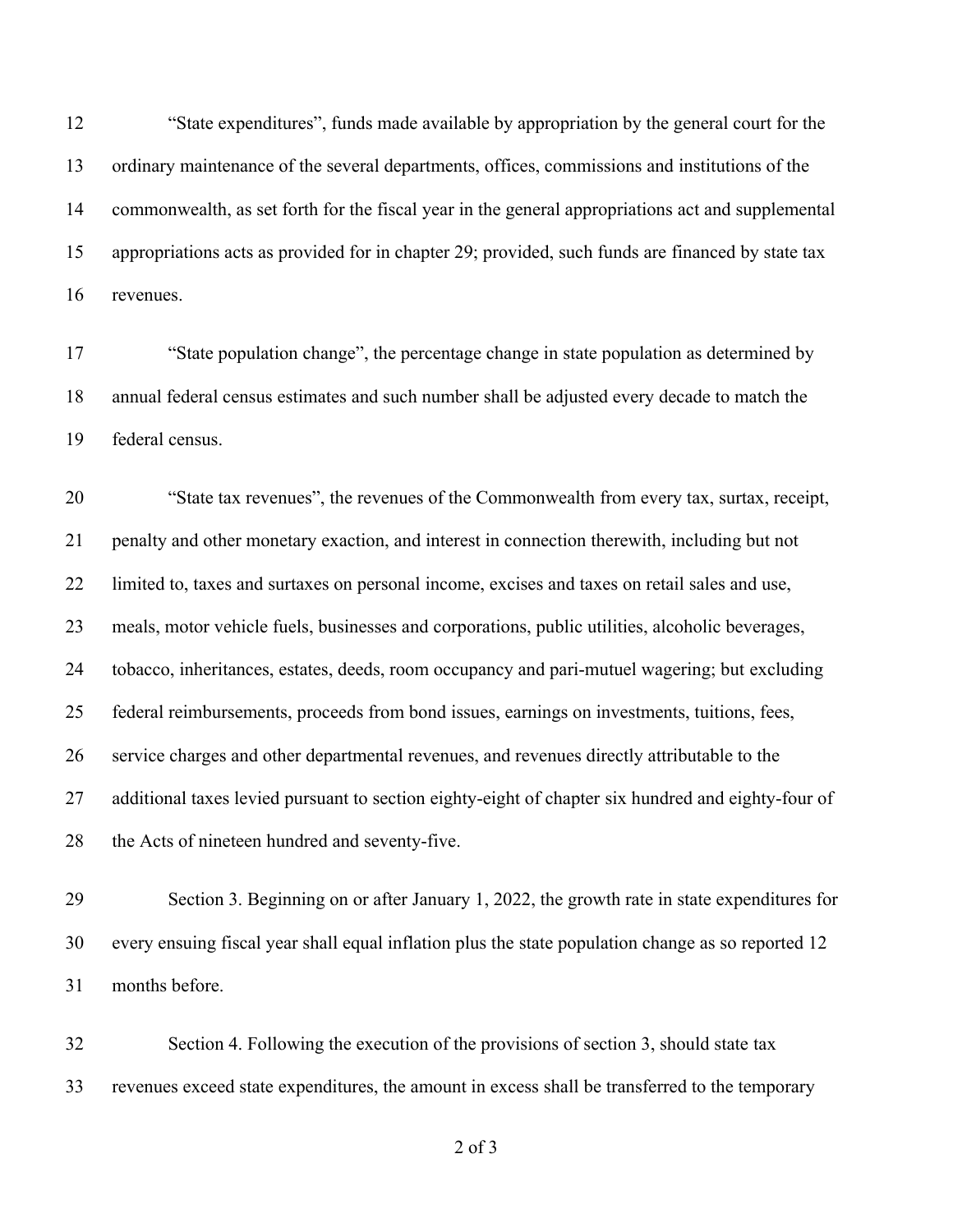"State expenditures", funds made available by appropriation by the general court for the ordinary maintenance of the several departments, offices, commissions and institutions of the commonwealth, as set forth for the fiscal year in the general appropriations act and supplemental appropriations acts as provided for in chapter 29; provided, such funds are financed by state tax revenues.

 "State population change", the percentage change in state population as determined by annual federal census estimates and such number shall be adjusted every decade to match the federal census.

 "State tax revenues", the revenues of the Commonwealth from every tax, surtax, receipt, penalty and other monetary exaction, and interest in connection therewith, including but not limited to, taxes and surtaxes on personal income, excises and taxes on retail sales and use, meals, motor vehicle fuels, businesses and corporations, public utilities, alcoholic beverages, tobacco, inheritances, estates, deeds, room occupancy and pari-mutuel wagering; but excluding federal reimbursements, proceeds from bond issues, earnings on investments, tuitions, fees, service charges and other departmental revenues, and revenues directly attributable to the additional taxes levied pursuant to section eighty-eight of chapter six hundred and eighty-four of 28 the Acts of nineteen hundred and seventy-five.

 Section 3. Beginning on or after January 1, 2022, the growth rate in state expenditures for every ensuing fiscal year shall equal inflation plus the state population change as so reported 12 months before.

 Section 4. Following the execution of the provisions of section 3, should state tax revenues exceed state expenditures, the amount in excess shall be transferred to the temporary

of 3